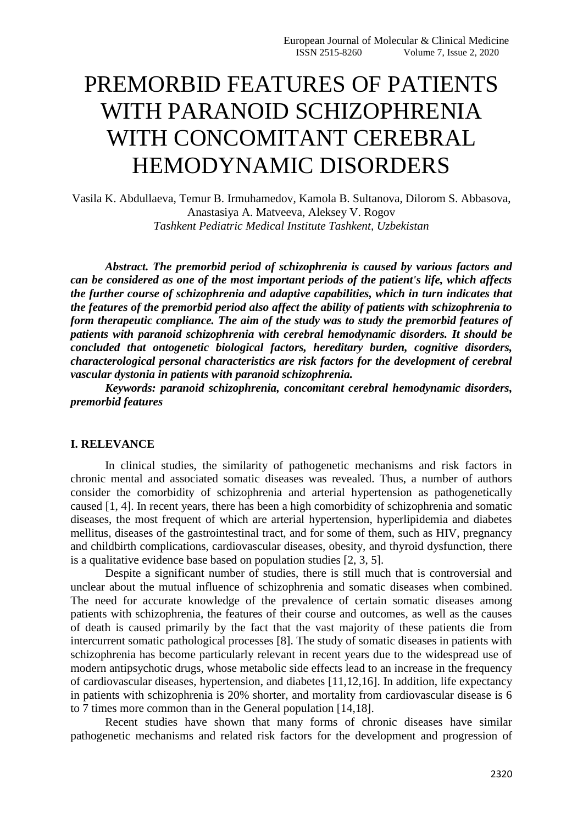# PREMORBID FEATURES OF PATIENTS WITH PARANOID SCHIZOPHRENIA WITH CONCOMITANT CEREBRAL HEMODYNAMIC DISORDERS

Vasila K. Abdullaeva, Temur B. Irmuhamedov, Kamola B. Sultanova, Dilorom S. Abbasova, Anastasiya A. Matveeva, Aleksey V. Rogov *Tashkent Pediatric Medical Institute Tashkent, Uzbekistan*

*Abstract. The premorbid period of schizophrenia is caused by various factors and can be considered as one of the most important periods of the patient's life, which affects the further course of schizophrenia and adaptive capabilities, which in turn indicates that the features of the premorbid period also affect the ability of patients with schizophrenia to form therapeutic compliance. The aim of the study was to study the premorbid features of patients with paranoid schizophrenia with cerebral hemodynamic disorders. It should be concluded that ontogenetic biological factors, hereditary burden, cognitive disorders, characterological personal characteristics are risk factors for the development of cerebral vascular dystonia in patients with paranoid schizophrenia.*

*Keywords: paranoid schizophrenia, concomitant cerebral hemodynamic disorders, premorbid features*

## **I. RELEVANCE**

In clinical studies, the similarity of pathogenetic mechanisms and risk factors in chronic mental and associated somatic diseases was revealed. Thus, a number of authors consider the comorbidity of schizophrenia and arterial hypertension as pathogenetically caused [1, 4]. In recent years, there has been a high comorbidity of schizophrenia and somatic diseases, the most frequent of which are arterial hypertension, hyperlipidemia and diabetes mellitus, diseases of the gastrointestinal tract, and for some of them, such as HIV, pregnancy and childbirth complications, cardiovascular diseases, obesity, and thyroid dysfunction, there is a qualitative evidence base based on population studies [2, 3, 5].

Despite a significant number of studies, there is still much that is controversial and unclear about the mutual influence of schizophrenia and somatic diseases when combined. The need for accurate knowledge of the prevalence of certain somatic diseases among patients with schizophrenia, the features of their course and outcomes, as well as the causes of death is caused primarily by the fact that the vast majority of these patients die from intercurrent somatic pathological processes [8]. The study of somatic diseases in patients with schizophrenia has become particularly relevant in recent years due to the widespread use of modern antipsychotic drugs, whose metabolic side effects lead to an increase in the frequency of cardiovascular diseases, hypertension, and diabetes [11,12,16]. In addition, life expectancy in patients with schizophrenia is 20% shorter, and mortality from cardiovascular disease is 6 to 7 times more common than in the General population [14,18].

Recent studies have shown that many forms of chronic diseases have similar pathogenetic mechanisms and related risk factors for the development and progression of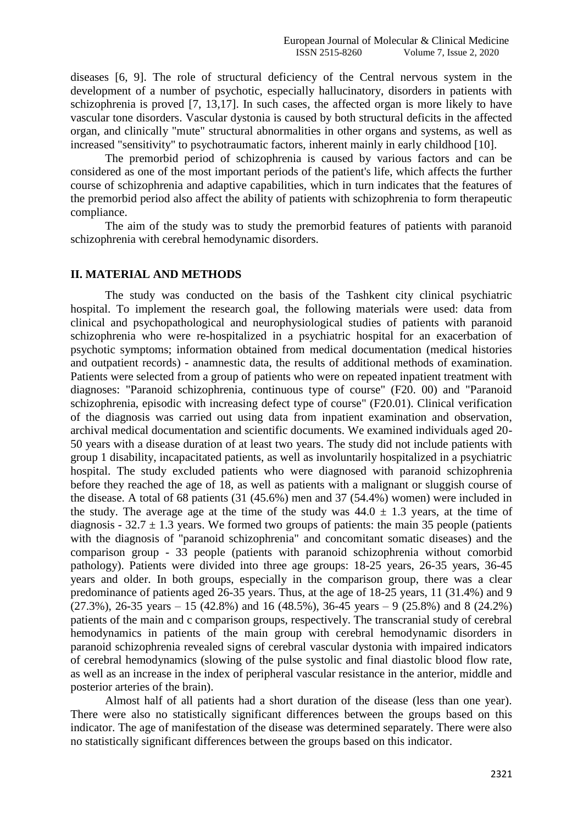diseases [6, 9]. The role of structural deficiency of the Central nervous system in the development of a number of psychotic, especially hallucinatory, disorders in patients with schizophrenia is proved [7, 13,17]. In such cases, the affected organ is more likely to have vascular tone disorders. Vascular dystonia is caused by both structural deficits in the affected organ, and clinically "mute" structural abnormalities in other organs and systems, as well as increased "sensitivity" to psychotraumatic factors, inherent mainly in early childhood [10].

The premorbid period of schizophrenia is caused by various factors and can be considered as one of the most important periods of the patient's life, which affects the further course of schizophrenia and adaptive capabilities, which in turn indicates that the features of the premorbid period also affect the ability of patients with schizophrenia to form therapeutic compliance.

The aim of the study was to study the premorbid features of patients with paranoid schizophrenia with cerebral hemodynamic disorders.

#### **II. MATERIAL AND METHODS**

The study was conducted on the basis of the Tashkent city clinical psychiatric hospital. To implement the research goal, the following materials were used: data from clinical and psychopathological and neurophysiological studies of patients with paranoid schizophrenia who were re-hospitalized in a psychiatric hospital for an exacerbation of psychotic symptoms; information obtained from medical documentation (medical histories and outpatient records) - anamnestic data, the results of additional methods of examination. Patients were selected from a group of patients who were on repeated inpatient treatment with diagnoses: "Paranoid schizophrenia, continuous type of course" (F20. 00) and "Paranoid schizophrenia, episodic with increasing defect type of course" (F20.01). Clinical verification of the diagnosis was carried out using data from inpatient examination and observation, archival medical documentation and scientific documents. We examined individuals aged 20- 50 years with a disease duration of at least two years. The study did not include patients with group 1 disability, incapacitated patients, as well as involuntarily hospitalized in a psychiatric hospital. The study excluded patients who were diagnosed with paranoid schizophrenia before they reached the age of 18, as well as patients with a malignant or sluggish course of the disease. A total of 68 patients (31 (45.6%) men and 37 (54.4%) women) were included in the study. The average age at the time of the study was  $44.0 \pm 1.3$  years, at the time of diagnosis -  $32.7 \pm 1.3$  years. We formed two groups of patients: the main 35 people (patients with the diagnosis of "paranoid schizophrenia" and concomitant somatic diseases) and the comparison group - 33 people (patients with paranoid schizophrenia without comorbid pathology). Patients were divided into three age groups: 18-25 years, 26-35 years, 36-45 years and older. In both groups, especially in the comparison group, there was a clear predominance of patients aged 26-35 years. Thus, at the age of 18-25 years, 11 (31.4%) and 9  $(27.3\%)$ , 26-35 years – 15 (42.8%) and 16 (48.5%), 36-45 years – 9 (25.8%) and 8 (24.2%) patients of the main and c comparison groups, respectively. The transcranial study of cerebral hemodynamics in patients of the main group with cerebral hemodynamic disorders in paranoid schizophrenia revealed signs of cerebral vascular dystonia with impaired indicators of cerebral hemodynamics (slowing of the pulse systolic and final diastolic blood flow rate, as well as an increase in the index of peripheral vascular resistance in the anterior, middle and posterior arteries of the brain).

Almost half of all patients had a short duration of the disease (less than one year). There were also no statistically significant differences between the groups based on this indicator. The age of manifestation of the disease was determined separately. There were also no statistically significant differences between the groups based on this indicator.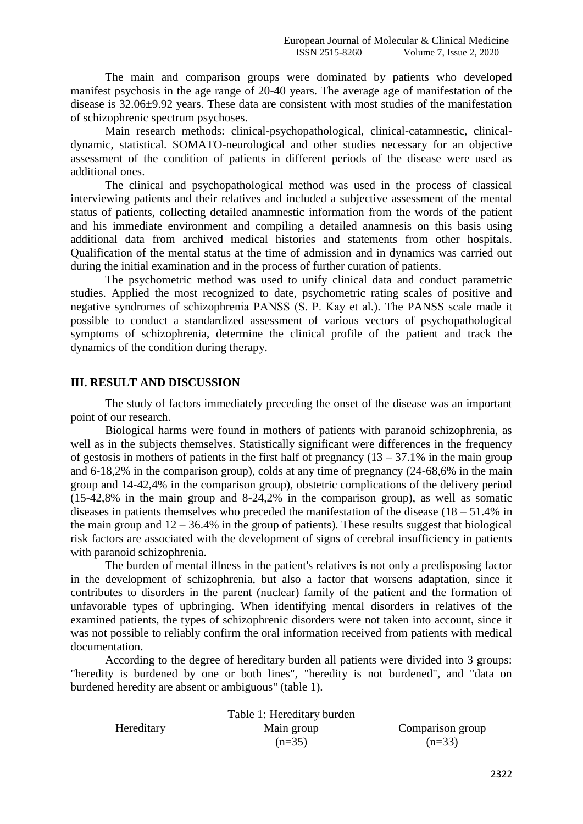The main and comparison groups were dominated by patients who developed manifest psychosis in the age range of 20-40 years. The average age of manifestation of the disease is 32.06±9.92 years. These data are consistent with most studies of the manifestation of schizophrenic spectrum psychoses.

Main research methods: clinical-psychopathological, clinical-catamnestic, clinicaldynamic, statistical. SOMATO-neurological and other studies necessary for an objective assessment of the condition of patients in different periods of the disease were used as additional ones.

The clinical and psychopathological method was used in the process of classical interviewing patients and their relatives and included a subjective assessment of the mental status of patients, collecting detailed anamnestic information from the words of the patient and his immediate environment and compiling a detailed anamnesis on this basis using additional data from archived medical histories and statements from other hospitals. Qualification of the mental status at the time of admission and in dynamics was carried out during the initial examination and in the process of further curation of patients.

The psychometric method was used to unify clinical data and conduct parametric studies. Applied the most recognized to date, psychometric rating scales of positive and negative syndromes of schizophrenia РАNSS (S. P. Kay et al.). The PANSS scale made it possible to conduct a standardized assessment of various vectors of psychopathological symptoms of schizophrenia, determine the clinical profile of the patient and track the dynamics of the condition during therapy.

## **III. RESULT AND DISCUSSION**

The study of factors immediately preceding the onset of the disease was an important point of our research.

Biological harms were found in mothers of patients with paranoid schizophrenia, as well as in the subjects themselves. Statistically significant were differences in the frequency of gestosis in mothers of patients in the first half of pregnancy  $(13 - 37.1\%$  in the main group and 6-18,2% in the comparison group), colds at any time of pregnancy (24-68,6% in the main group and 14-42,4% in the comparison group), obstetric complications of the delivery period (15-42,8% in the main group and 8-24,2% in the comparison group), as well as somatic diseases in patients themselves who preceded the manifestation of the disease  $(18 - 51.4\%$  in the main group and  $12 - 36.4\%$  in the group of patients). These results suggest that biological risk factors are associated with the development of signs of cerebral insufficiency in patients with paranoid schizophrenia.

The burden of mental illness in the patient's relatives is not only a predisposing factor in the development of schizophrenia, but also a factor that worsens adaptation, since it contributes to disorders in the parent (nuclear) family of the patient and the formation of unfavorable types of upbringing. When identifying mental disorders in relatives of the examined patients, the types of schizophrenic disorders were not taken into account, since it was not possible to reliably confirm the oral information received from patients with medical documentation.

According to the degree of hereditary burden all patients were divided into 3 groups: "heredity is burdened by one or both lines", "heredity is not burdened", and "data on burdened heredity are absent or ambiguous" (table 1).

| TAUIC T. HCICUITAI V UUIUCII |            |                  |  |
|------------------------------|------------|------------------|--|
| Hereditary                   | Main group | Comparison group |  |
|                              | $(n=35)$   | $(n=33)$         |  |

Table 1: Hereditary burden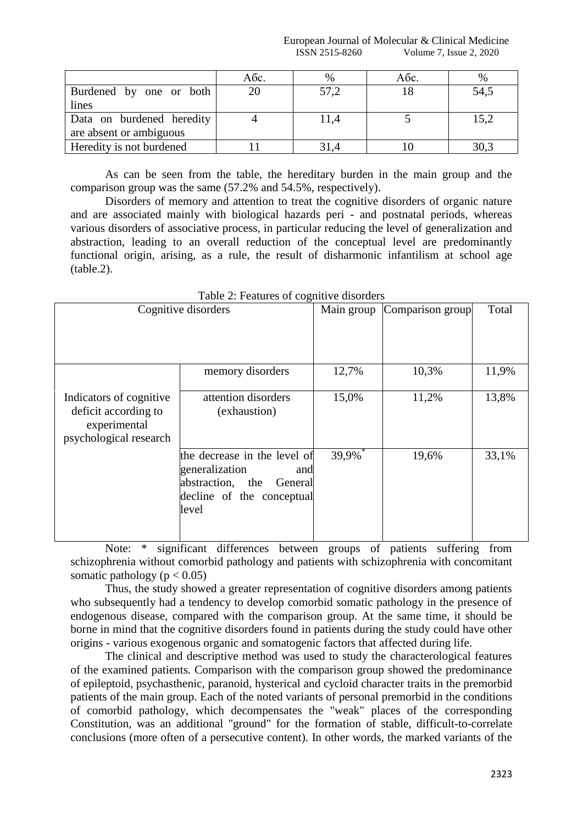|                           | Aбс. | $\%$ | Aбс. | $\%$ |
|---------------------------|------|------|------|------|
| Burdened by one or both   | 20   | 57,2 |      | 54,5 |
| lines                     |      |      |      |      |
| Data on burdened heredity |      | 11,4 |      | 15,2 |
| are absent or ambiguous   |      |      |      |      |
| Heredity is not burdened  |      |      |      | 30,3 |

As can be seen from the table, the hereditary burden in the main group and the comparison group was the same (57.2% and 54.5%, respectively).

Disorders of memory and attention to treat the cognitive disorders of organic nature and are associated mainly with biological hazards peri - and postnatal periods, whereas various disorders of associative process, in particular reducing the level of generalization and abstraction, leading to an overall reduction of the conceptual level are predominantly functional origin, arising, as a rule, the result of disharmonic infantilism at school age (table.2).

| Cognitive disorders                                                                       |                                                                                                                            | Main group | Comparison group | Total |
|-------------------------------------------------------------------------------------------|----------------------------------------------------------------------------------------------------------------------------|------------|------------------|-------|
|                                                                                           |                                                                                                                            |            |                  |       |
|                                                                                           | memory disorders                                                                                                           | 12,7%      | 10,3%            | 11,9% |
| Indicators of cognitive<br>deficit according to<br>experimental<br>psychological research | attention disorders<br>(exhaustion)                                                                                        | 15,0%      | 11,2%            | 13,8% |
|                                                                                           | the decrease in the level of<br>generalization<br>and<br>abstraction, the<br>General<br>decline of the conceptual<br>level | 39,9%      | 19,6%            | 33,1% |

Table 2: Features of cognitive disorders

Note: \* significant differences between groups of patients suffering from schizophrenia without comorbid pathology and patients with schizophrenia with concomitant somatic pathology ( $p < 0.05$ )

Thus, the study showed a greater representation of cognitive disorders among patients who subsequently had a tendency to develop comorbid somatic pathology in the presence of endogenous disease, compared with the comparison group. At the same time, it should be borne in mind that the cognitive disorders found in patients during the study could have other origins - various exogenous organic and somatogenic factors that affected during life.

The clinical and descriptive method was used to study the characterological features of the examined patients. Comparison with the comparison group showed the predominance of epileptoid, psychasthenic, paranoid, hysterical and cycloid character traits in the premorbid patients of the main group. Each of the noted variants of personal premorbid in the conditions of comorbid pathology, which decompensates the "weak" places of the corresponding Constitution, was an additional "ground" for the formation of stable, difficult-to-correlate conclusions (more often of a persecutive content). In other words, the marked variants of the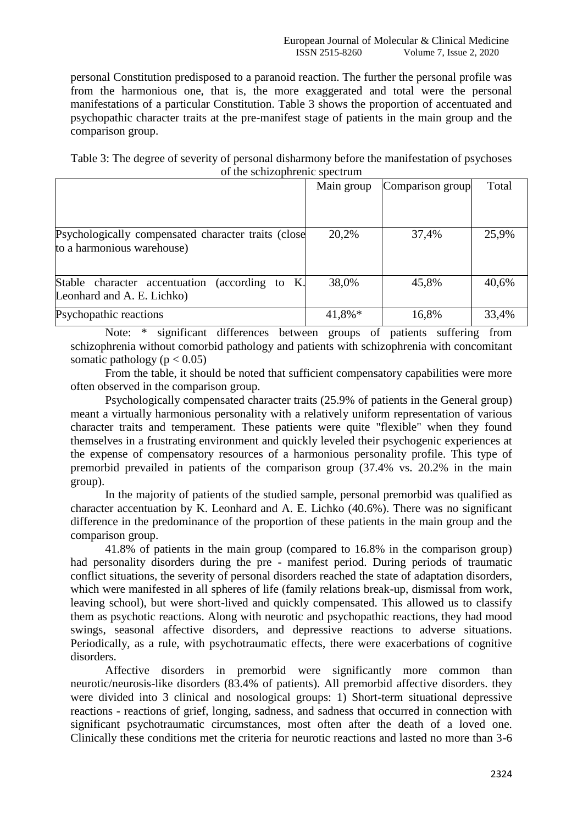personal Constitution predisposed to a paranoid reaction. The further the personal profile was from the harmonious one, that is, the more exaggerated and total were the personal manifestations of a particular Constitution. Table 3 shows the proportion of accentuated and psychopathic character traits at the pre-manifest stage of patients in the main group and the comparison group.

Table 3: The degree of severity of personal disharmony before the manifestation of psychoses of the schizophrenic spectrum

|                                                                                     | Main group | Comparison group | Total |
|-------------------------------------------------------------------------------------|------------|------------------|-------|
|                                                                                     |            |                  |       |
| Psychologically compensated character traits (close<br>to a harmonious warehouse)   | 20,2%      | 37,4%            | 25,9% |
|                                                                                     |            |                  |       |
| Stable character accentuation<br>(according to $K$ .)<br>Leonhard and A. E. Lichko) | 38,0%      | 45,8%            | 40,6% |
| Psychopathic reactions                                                              | 41,8%*     | 16,8%            | 33,4% |

Note: \* significant differences between groups of patients suffering from schizophrenia without comorbid pathology and patients with schizophrenia with concomitant somatic pathology ( $p < 0.05$ )

From the table, it should be noted that sufficient compensatory capabilities were more often observed in the comparison group.

Psychologically compensated character traits (25.9% of patients in the General group) meant a virtually harmonious personality with a relatively uniform representation of various character traits and temperament. These patients were quite "flexible" when they found themselves in a frustrating environment and quickly leveled their psychogenic experiences at the expense of compensatory resources of a harmonious personality profile. This type of premorbid prevailed in patients of the comparison group (37.4% vs. 20.2% in the main group).

In the majority of patients of the studied sample, personal premorbid was qualified as character accentuation by K. Leonhard and A. E. Lichko (40.6%). There was no significant difference in the predominance of the proportion of these patients in the main group and the comparison group.

41.8% of patients in the main group (compared to 16.8% in the comparison group) had personality disorders during the pre - manifest period. During periods of traumatic conflict situations, the severity of personal disorders reached the state of adaptation disorders, which were manifested in all spheres of life (family relations break-up, dismissal from work, leaving school), but were short-lived and quickly compensated. This allowed us to classify them as psychotic reactions. Along with neurotic and psychopathic reactions, they had mood swings, seasonal affective disorders, and depressive reactions to adverse situations. Periodically, as a rule, with psychotraumatic effects, there were exacerbations of cognitive disorders.

Affective disorders in premorbid were significantly more common than neurotic/neurosis-like disorders (83.4% of patients). All premorbid affective disorders. they were divided into 3 clinical and nosological groups: 1) Short-term situational depressive reactions - reactions of grief, longing, sadness, and sadness that occurred in connection with significant psychotraumatic circumstances, most often after the death of a loved one. Clinically these conditions met the criteria for neurotic reactions and lasted no more than 3-6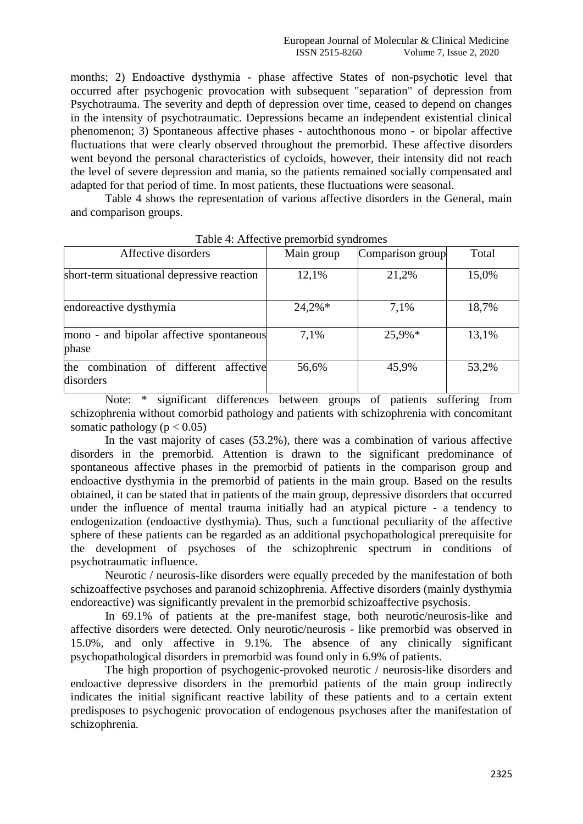months; 2) Endoactive dysthymia - phase affective States of non-psychotic level that occurred after psychogenic provocation with subsequent "separation" of depression from Psychotrauma. The severity and depth of depression over time, ceased to depend on changes in the intensity of psychotraumatic. Depressions became an independent existential clinical phenomenon; 3) Spontaneous affective phases - autochthonous mono - or bipolar affective fluctuations that were clearly observed throughout the premorbid. These affective disorders went beyond the personal characteristics of cycloids, however, their intensity did not reach the level of severe depression and mania, so the patients remained socially compensated and adapted for that period of time. In most patients, these fluctuations were seasonal.

Table 4 shows the representation of various affective disorders in the General, main and comparison groups.

| Affective disorders                                 | Main group | Comparison group | Total |
|-----------------------------------------------------|------------|------------------|-------|
| short-term situational depressive reaction          | 12,1%      | 21,2%            | 15,0% |
| endoreactive dysthymia                              | $24,2\%*$  | 7.1%             | 18,7% |
| mono - and bipolar affective spontaneous<br>phase   | 7,1%       | 25,9%*           | 13,1% |
| the combination of different affective<br>disorders | 56,6%      | 45,9%            | 53,2% |

Note: \* significant differences between groups of patients suffering from schizophrenia without comorbid pathology and patients with schizophrenia with concomitant somatic pathology ( $p < 0.05$ )

In the vast majority of cases (53.2%), there was a combination of various affective disorders in the premorbid. Attention is drawn to the significant predominance of spontaneous affective phases in the premorbid of patients in the comparison group and endoactive dysthymia in the premorbid of patients in the main group. Based on the results obtained, it can be stated that in patients of the main group, depressive disorders that occurred under the influence of mental trauma initially had an atypical picture - a tendency to endogenization (endoactive dysthymia). Thus, such a functional peculiarity of the affective sphere of these patients can be regarded as an additional psychopathological prerequisite for the development of psychoses of the schizophrenic spectrum in conditions of psychotraumatic influence.

Neurotic / neurosis-like disorders were equally preceded by the manifestation of both schizoaffective psychoses and paranoid schizophrenia. Affective disorders (mainly dysthymia endoreactive) was significantly prevalent in the premorbid schizoaffective psychosis.

In 69.1% of patients at the pre-manifest stage, both neurotic/neurosis-like and affective disorders were detected. Only neurotic/neurosis - like premorbid was observed in 15.0%, and only affective in 9.1%. The absence of any clinically significant psychopathological disorders in premorbid was found only in 6.9% of patients.

The high proportion of psychogenic-provoked neurotic / neurosis-like disorders and endoactive depressive disorders in the premorbid patients of the main group indirectly indicates the initial significant reactive lability of these patients and to a certain extent predisposes to psychogenic provocation of endogenous psychoses after the manifestation of schizophrenia.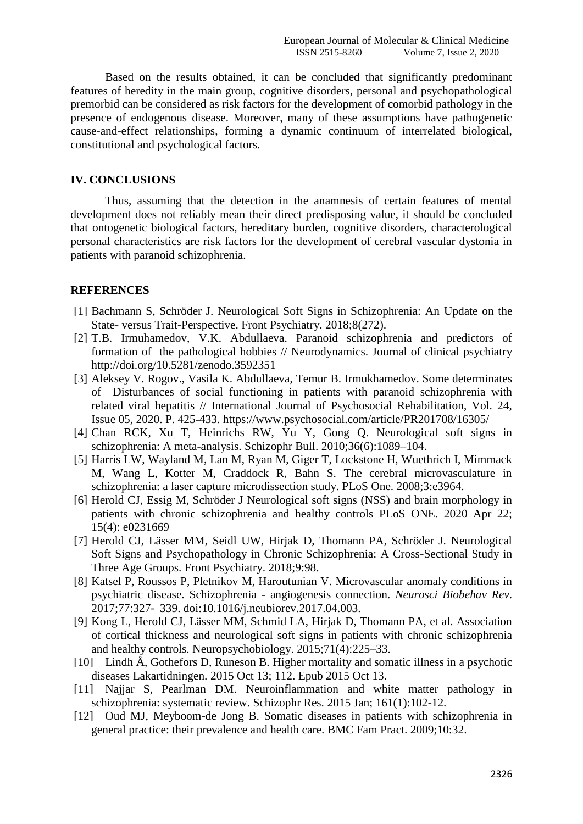Based on the results obtained, it can be concluded that significantly predominant features of heredity in the main group, cognitive disorders, personal and psychopathological premorbid can be considered as risk factors for the development of comorbid pathology in the presence of endogenous disease. Moreover, many of these assumptions have pathogenetic cause-and-effect relationships, forming a dynamic continuum of interrelated biological, constitutional and psychological factors.

### **IV. CONCLUSIONS**

Thus, assuming that the detection in the anamnesis of certain features of mental development does not reliably mean their direct predisposing value, it should be concluded that ontogenetic biological factors, hereditary burden, cognitive disorders, characterological personal characteristics are risk factors for the development of cerebral vascular dystonia in patients with paranoid schizophrenia.

#### **REFERENCES**

- [1] Bachmann S, Schröder J. Neurological Soft Signs in Schizophrenia: An Update on the State- versus Trait-Perspective. Front Psychiatry. 2018;8(272).
- [2] T.B. Irmuhamedov, V.K. Abdullaeva. Paranoid schizophrenia and predictors of formation of the pathological hobbies // Neurodynamics. Journal of clinical psychiatry http://doi.org/10.5281/zenodo.3592351
- [3] Aleksey V. Rogov., Vasila K. Abdullaeva, Temur B. Irmukhamedov. Some determinates of Disturbances of social functioning in patients with paranoid schizophrenia with related viral hepatitis // International Journal of Psychosocial Rehabilitation, Vol. 24, Issue 05, 2020. P. 425-433. https://www.psychosocial.com/article/PR201708/16305/
- [4] Chan RCK, Xu T, Heinrichs RW, Yu Y, Gong Q. Neurological soft signs in schizophrenia: A meta-analysis. Schizophr Bull. 2010;36(6):1089–104.
- [5] Harris LW, Wayland M, Lan M, Ryan M, Giger T, Lockstone H, Wuethrich I, Mimmack M, Wang L, Kotter M, Craddock R, Bahn S. The cerebral microvasculature in schizophrenia: a laser capture microdissection study. PLoS One. 2008;3:e3964.
- [6] Herold CJ, Essig M, Schröder J [Neurological soft signs \(NSS\) and brain morphology in](https://www.ncbi.nlm.nih.gov/pmc/articles/PMC7176089/)  [patients with chronic schizophrenia](https://www.ncbi.nlm.nih.gov/pmc/articles/PMC7176089/) and healthy controls PLoS ONE. 2020 Apr 22; 15(4): e0231669
- [7] Herold CJ, Lässer MM, Seidl UW, Hirjak D, Thomann PA, Schröder J. Neurological Soft Signs and Psychopathology in Chronic Schizophrenia: A Cross-Sectional Study in Three Age Groups. Front Psychiatry. 2018;9:98.
- [8] Katsel P, Roussos P, Pletnikov M, Haroutunian V. Microvascular anomaly conditions in psychiatric disease. Schizophrenia - angiogenesis connection. *Neurosci Biobehav Rev*. 2017;77:327‐ 339. doi:10.1016/j.neubiorev.2017.04.003.
- [9] Kong L, Herold CJ, Lässer MM, Schmid LA, Hirjak D, Thomann PA, et al. Association of cortical thickness and neurological soft signs in patients with chronic schizophrenia and healthy controls. Neuropsychobiology. 2015;71(4):225–33.
- [10] Lindh Å, Gothefors D, Runeson B. Higher mortality and somatic illness in a psychotic diseases Lakartidningen. 2015 Oct 13; 112. Epub 2015 Oct 13.
- [11] Najjar S, Pearlman DM. [Neuroinflammation and white matter pathology in](https://www.ncbi.nlm.nih.gov/pubmed/24948485/)  [schizophrenia: systematic review.](https://www.ncbi.nlm.nih.gov/pubmed/24948485/) Schizophr Res. 2015 Jan; 161(1):102-12.
- [12] Oud MJ, Meyboom-de Jong B. Somatic diseases in patients with schizophrenia in general practice: their prevalence and health care. BMC Fam Pract. 2009;10:32.